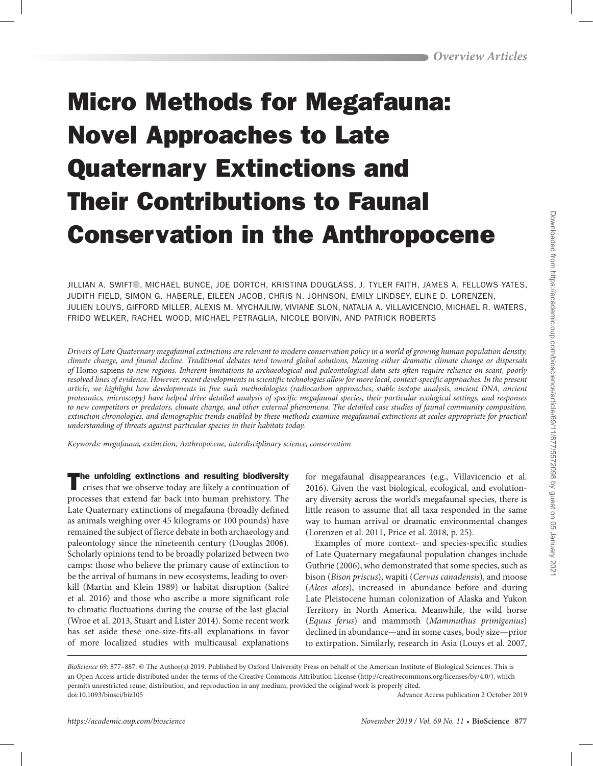# Micro Methods for Megafauna: Novel Approaches to Late Quaternary Extinctions and Their Contributions to Faunal Conservation in the Anthropocene

JILLIAN A. SWIFT®[,](http://orcid.org/0000-0002-7436-1947) MICHAEL BUNCE, JOE DORTCH, KRISTINA DOUGLASS, J. TYLER FAITH, JAMES A. FELLOWS YATES, JUDITH FIELD, SIMON G. HABERLE, EILEEN JACOB, CHRIS N. JOHNSON, EMILY LINDSEY, ELINE D. LORENZEN, JULIEN LOUYS, GIFFORD MILLER, ALEXIS M. MYCHAJLIW, VIVIANE SLON, NATALIA A. VILLAVICENCIO, MICHAEL R. WATERS, FRIDO WELKER, RACHEL WOOD, MICHAEL PETRAGLIA, NICOLE BOIVIN, AND PATRICK ROBERTS

*Drivers of Late Quaternary megafaunal extinctions are relevant to modern conservation policy in a world of growing human population density, climate change, and faunal decline. Traditional debates tend toward global solutions, blaming either dramatic climate change or dispersals of* Homo sapiens *to new regions. Inherent limitations to archaeological and paleontological data sets often require reliance on scant, poorly*  resolved lines of evidence. However, recent developments in scientific technologies allow for more local, context-specific approaches. In the present *article, we highlight how developments in five such methodologies (radiocarbon approaches, stable isotope analysis, ancient DNA, ancient proteomics, microscopy) have helped drive detailed analysis of specific megafaunal species, their particular ecological settings, and responses to new competitors or predators, climate change, and other external phenomena. The detailed case studies of faunal community composition, extinction chronologies, and demographic trends enabled by these methods examine megafaunal extinctions at scales appropriate for practical understanding of threats against particular species in their habitats today.*

*Keywords: megafauna, extinction, Anthropocene, interdisciplinary science, conservation*

The unfolding extinctions and resulting biodiversity crises that we observe today are likely a continuation of processes that extend far back into human prehistory. The Late Quaternary extinctions of megafauna (broadly defined as animals weighing over 45 kilograms or 100 pounds) have remained the subject of fierce debate in both archaeology and paleontology since the nineteenth century (Douglas 2006). Scholarly opinions tend to be broadly polarized between two camps: those who believe the primary cause of extinction to be the arrival of humans in new ecosystems, leading to overkill (Martin and Klein 1989) or habitat disruption (Saltré et al. 2016) and those who ascribe a more significant role to climatic fluctuations during the course of the last glacial (Wroe et al. 2013, Stuart and Lister 2014). Some recent work has set aside these one-size-fits-all explanations in favor of more localized studies with multicausal explanations

for megafaunal disappearances (e.g., Villavicencio et al. 2016). Given the vast biological, ecological, and evolutionary diversity across the world's megafaunal species, there is little reason to assume that all taxa responded in the same way to human arrival or dramatic environmental changes (Lorenzen et al. 2011, Price et al. 2018, p. 25).

Examples of more context- and species-specific studies of Late Quaternary megafaunal population changes include Guthrie (2006), who demonstrated that some species, such as bison (*Bison priscus*), wapiti (*Cervus canadensis*), and moose (*Alces alces*), increased in abundance before and during Late Pleistocene human colonization of Alaska and Yukon Territory in North America. Meanwhile, the wild horse (*Equus ferus*) and mammoth (*Mammuthus primigenius*) declined in abundance—and in some cases, body size—prior to extirpation. Similarly, research in Asia (Louys et al. 2007,

*BioScience* 69: 877–887. © The Author(s) 2019. Published by Oxford University Press on behalf of the American Institute of Biological Sciences. This is an Open Access article distributed under the terms of the Creative Commons Attribution License (http://creativecommons.org/licenses/by/4.0/), which permits unrestricted reuse, distribution, and reproduction in any medium, provided the original work is properly cited. doi:10.1093/biosci/biz105 Advance Access publication 2 October 2019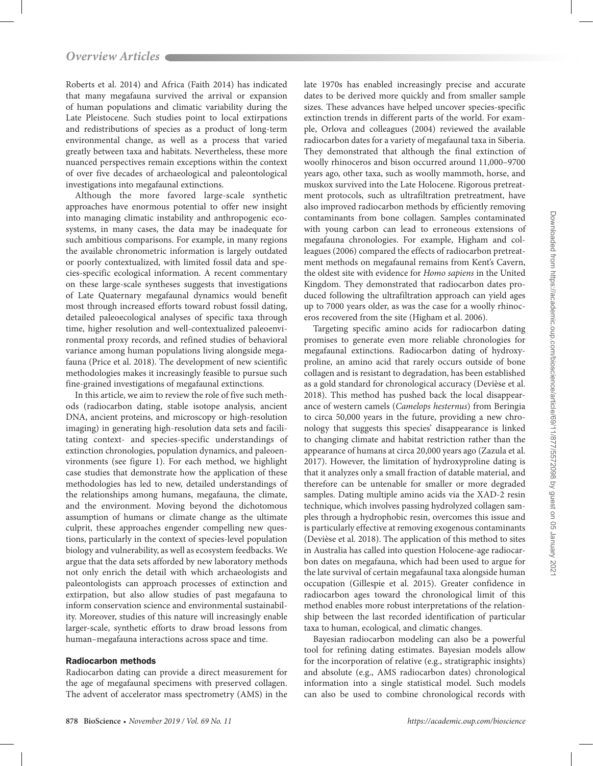Roberts et al. 2014) and Africa (Faith 2014) has indicated that many megafauna survived the arrival or expansion of human populations and climatic variability during the Late Pleistocene. Such studies point to local extirpations and redistributions of species as a product of long-term environmental change, as well as a process that varied greatly between taxa and habitats. Nevertheless, these more nuanced perspectives remain exceptions within the context of over five decades of archaeological and paleontological investigations into megafaunal extinctions.

Although the more favored large-scale synthetic approaches have enormous potential to offer new insight into managing climatic instability and anthropogenic ecosystems, in many cases, the data may be inadequate for such ambitious comparisons. For example, in many regions the available chronometric information is largely outdated or poorly contextualized, with limited fossil data and species-specific ecological information. A recent commentary on these large-scale syntheses suggests that investigations of Late Quaternary megafaunal dynamics would benefit most through increased efforts toward robust fossil dating, detailed paleoecological analyses of specific taxa through time, higher resolution and well-contextualized paleoenvironmental proxy records, and refined studies of behavioral variance among human populations living alongside megafauna (Price et al. 2018). The development of new scientific methodologies makes it increasingly feasible to pursue such fine-grained investigations of megafaunal extinctions.

In this article, we aim to review the role of five such methods (radiocarbon dating, stable isotope analysis, ancient DNA, ancient proteins, and microscopy or high-resolution imaging) in generating high-resolution data sets and facilitating context- and species-specific understandings of extinction chronologies, population dynamics, and paleoenvironments (see figure 1). For each method, we highlight case studies that demonstrate how the application of these methodologies has led to new, detailed understandings of the relationships among humans, megafauna, the climate, and the environment. Moving beyond the dichotomous assumption of humans or climate change as the ultimate culprit, these approaches engender compelling new questions, particularly in the context of species-level population biology and vulnerability, as well as ecosystem feedbacks. We argue that the data sets afforded by new laboratory methods not only enrich the detail with which archaeologists and paleontologists can approach processes of extinction and extirpation, but also allow studies of past megafauna to inform conservation science and environmental sustainability. Moreover, studies of this nature will increasingly enable larger-scale, synthetic efforts to draw broad lessons from human–megafauna interactions across space and time.

#### Radiocarbon methods

Radiocarbon dating can provide a direct measurement for the age of megafaunal specimens with preserved collagen. The advent of accelerator mass spectrometry (AMS) in the

late 1970s has enabled increasingly precise and accurate dates to be derived more quickly and from smaller sample sizes. These advances have helped uncover species-specific extinction trends in different parts of the world. For example, Orlova and colleagues (2004) reviewed the available radiocarbon dates for a variety of megafaunal taxa in Siberia. They demonstrated that although the final extinction of woolly rhinoceros and bison occurred around 11,000–9700 years ago, other taxa, such as woolly mammoth, horse, and muskox survived into the Late Holocene. Rigorous pretreatment protocols, such as ultrafiltration pretreatment, have also improved radiocarbon methods by efficiently removing contaminants from bone collagen. Samples contaminated with young carbon can lead to erroneous extensions of megafauna chronologies. For example, Higham and colleagues (2006) compared the effects of radiocarbon pretreatment methods on megafaunal remains from Kent's Cavern, the oldest site with evidence for *Homo sapiens* in the United Kingdom. They demonstrated that radiocarbon dates produced following the ultrafiltration approach can yield ages up to 7000 years older, as was the case for a woolly rhinoceros recovered from the site (Higham et al. 2006).

Targeting specific amino acids for radiocarbon dating promises to generate even more reliable chronologies for megafaunal extinctions. Radiocarbon dating of hydroxyproline, an amino acid that rarely occurs outside of bone collagen and is resistant to degradation, has been established as a gold standard for chronological accuracy (Devièse et al. 2018). This method has pushed back the local disappearance of western camels (*Camelops hesternus*) from Beringia to circa 50,000 years in the future, providing a new chronology that suggests this species' disappearance is linked to changing climate and habitat restriction rather than the appearance of humans at circa 20,000 years ago (Zazula et al. 2017). However, the limitation of hydroxyproline dating is that it analyzes only a small fraction of datable material, and therefore can be untenable for smaller or more degraded samples. Dating multiple amino acids via the XAD-2 resin technique, which involves passing hydrolyzed collagen samples through a hydrophobic resin, overcomes this issue and is particularly effective at removing exogenous contaminants (Devièse et al. 2018). The application of this method to sites in Australia has called into question Holocene-age radiocarbon dates on megafauna, which had been used to argue for the late survival of certain megafaunal taxa alongside human occupation (Gillespie et al. 2015). Greater confidence in radiocarbon ages toward the chronological limit of this method enables more robust interpretations of the relationship between the last recorded identification of particular taxa to human, ecological, and climatic changes.

Bayesian radiocarbon modeling can also be a powerful tool for refining dating estimates. Bayesian models allow for the incorporation of relative (e.g., stratigraphic insights) and absolute (e.g., AMS radiocarbon dates) chronological information into a single statistical model. Such models can also be used to combine chronological records with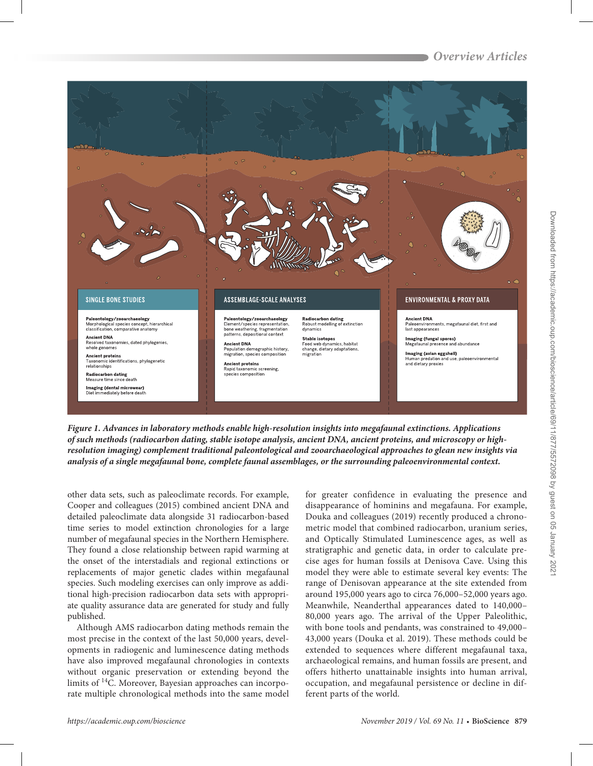## *Overview Articles*



*Figure 1. Advances in laboratory methods enable high-resolution insights into megafaunal extinctions. Applications of such methods (radiocarbon dating, stable isotope analysis, ancient DNA, ancient proteins, and microscopy or highresolution imaging) complement traditional paleontological and zooarchaeological approaches to glean new insights via analysis of a single megafaunal bone, complete faunal assemblages, or the surrounding paleoenvironmental context.*

other data sets, such as paleoclimate records. For example, Cooper and colleagues (2015) combined ancient DNA and detailed paleoclimate data alongside 31 radiocarbon-based time series to model extinction chronologies for a large number of megafaunal species in the Northern Hemisphere. They found a close relationship between rapid warming at the onset of the interstadials and regional extinctions or replacements of major genetic clades within megafaunal species. Such modeling exercises can only improve as additional high-precision radiocarbon data sets with appropriate quality assurance data are generated for study and fully published.

Although AMS radiocarbon dating methods remain the most precise in the context of the last 50,000 years, developments in radiogenic and luminescence dating methods have also improved megafaunal chronologies in contexts without organic preservation or extending beyond the limits of 14C. Moreover, Bayesian approaches can incorporate multiple chronological methods into the same model

for greater confidence in evaluating the presence and disappearance of hominins and megafauna. For example, Douka and colleagues (2019) recently produced a chronometric model that combined radiocarbon, uranium series, and Optically Stimulated Luminescence ages, as well as stratigraphic and genetic data, in order to calculate precise ages for human fossils at Denisova Cave. Using this model they were able to estimate several key events: The range of Denisovan appearance at the site extended from around 195,000 years ago to circa 76,000–52,000 years ago. Meanwhile, Neanderthal appearances dated to 140,000– 80,000 years ago. The arrival of the Upper Paleolithic, with bone tools and pendants, was constrained to 49,000– 43,000 years (Douka et al. 2019). These methods could be extended to sequences where different megafaunal taxa, archaeological remains, and human fossils are present, and offers hitherto unattainable insights into human arrival, occupation, and megafaunal persistence or decline in different parts of the world.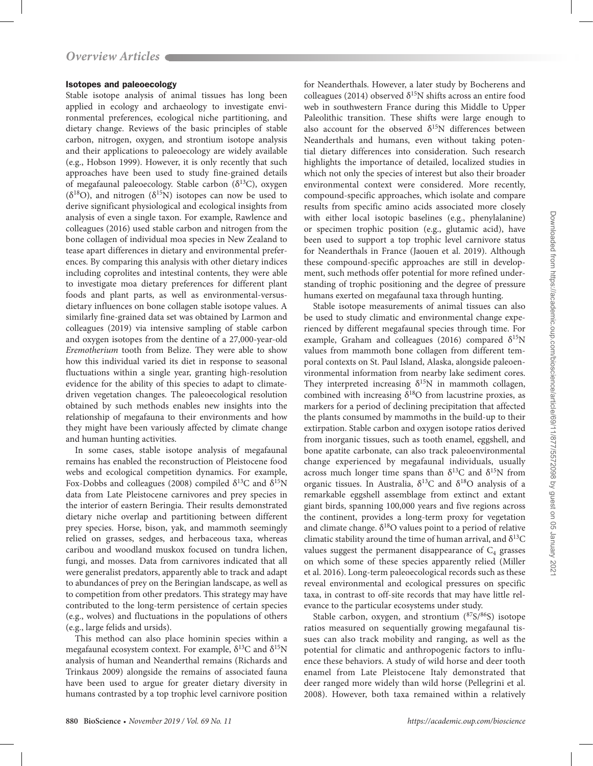#### Isotopes and paleoecology

Stable isotope analysis of animal tissues has long been applied in ecology and archaeology to investigate environmental preferences, ecological niche partitioning, and dietary change. Reviews of the basic principles of stable carbon, nitrogen, oxygen, and strontium isotope analysis and their applications to paleoecology are widely available (e.g., Hobson 1999). However, it is only recently that such approaches have been used to study fine-grained details of megafaunal paleoecology. Stable carbon ( $\delta^{13}$ C), oxygen ( $\delta^{18}$ O), and nitrogen ( $\delta^{15}$ N) isotopes can now be used to derive significant physiological and ecological insights from analysis of even a single taxon. For example, Rawlence and colleagues (2016) used stable carbon and nitrogen from the bone collagen of individual moa species in New Zealand to tease apart differences in dietary and environmental preferences. By comparing this analysis with other dietary indices including coprolites and intestinal contents, they were able to investigate moa dietary preferences for different plant foods and plant parts, as well as environmental-versusdietary influences on bone collagen stable isotope values. A similarly fine-grained data set was obtained by Larmon and colleagues (2019) via intensive sampling of stable carbon and oxygen isotopes from the dentine of a 27,000-year-old *Eremotherium* tooth from Belize. They were able to show how this individual varied its diet in response to seasonal fluctuations within a single year, granting high-resolution evidence for the ability of this species to adapt to climatedriven vegetation changes. The paleoecological resolution obtained by such methods enables new insights into the relationship of megafauna to their environments and how they might have been variously affected by climate change and human hunting activities.

In some cases, stable isotope analysis of megafaunal remains has enabled the reconstruction of Pleistocene food webs and ecological competition dynamics. For example, Fox-Dobbs and colleagues (2008) compiled  $\delta^{13}C$  and  $\delta^{15}N$ data from Late Pleistocene carnivores and prey species in the interior of eastern Beringia. Their results demonstrated dietary niche overlap and partitioning between different prey species. Horse, bison, yak, and mammoth seemingly relied on grasses, sedges, and herbaceous taxa, whereas caribou and woodland muskox focused on tundra lichen, fungi, and mosses. Data from carnivores indicated that all were generalist predators, apparently able to track and adapt to abundances of prey on the Beringian landscape, as well as to competition from other predators. This strategy may have contributed to the long-term persistence of certain species (e.g., wolves) and fluctuations in the populations of others (e.g., large felids and ursids).

This method can also place hominin species within a megafaunal ecosystem context. For example,  $\delta^{13}C$  and  $\delta^{15}N$ analysis of human and Neanderthal remains (Richards and Trinkaus 2009) alongside the remains of associated fauna have been used to argue for greater dietary diversity in humans contrasted by a top trophic level carnivore position

for Neanderthals. However, a later study by Bocherens and colleagues (2014) observed  $\delta^{15}N$  shifts across an entire food web in southwestern France during this Middle to Upper Paleolithic transition. These shifts were large enough to also account for the observed  $\delta^{15}N$  differences between Neanderthals and humans, even without taking potential dietary differences into consideration. Such research highlights the importance of detailed, localized studies in which not only the species of interest but also their broader environmental context were considered. More recently, compound-specific approaches, which isolate and compare results from specific amino acids associated more closely with either local isotopic baselines (e.g., phenylalanine) or specimen trophic position (e.g., glutamic acid), have been used to support a top trophic level carnivore status for Neanderthals in France (Jaouen et al. 2019). Although these compound-specific approaches are still in development, such methods offer potential for more refined understanding of trophic positioning and the degree of pressure humans exerted on megafaunal taxa through hunting.

Stable isotope measurements of animal tissues can also be used to study climatic and environmental change experienced by different megafaunal species through time. For example, Graham and colleagues (2016) compared  $\delta^{15}N$ values from mammoth bone collagen from different temporal contexts on St. Paul Island, Alaska, alongside paleoenvironmental information from nearby lake sediment cores. They interpreted increasing  $\delta^{15}N$  in mammoth collagen, combined with increasing  $\delta^{18}O$  from lacustrine proxies, as markers for a period of declining precipitation that affected the plants consumed by mammoths in the build-up to their extirpation. Stable carbon and oxygen isotope ratios derived from inorganic tissues, such as tooth enamel, eggshell, and bone apatite carbonate, can also track paleoenvironmental change experienced by megafaunal individuals, usually across much longer time spans than  $\delta^{13}C$  and  $\delta^{15}N$  from organic tissues. In Australia,  $\delta^{13}C$  and  $\delta^{18}O$  analysis of a remarkable eggshell assemblage from extinct and extant giant birds, spanning 100,000 years and five regions across the continent, provides a long-term proxy for vegetation and climate change.  $\delta^{18}O$  values point to a period of relative climatic stability around the time of human arrival, and  $\delta^{13}C$ values suggest the permanent disappearance of  $C_4$  grasses on which some of these species apparently relied (Miller et al. 2016). Long-term paleoecological records such as these reveal environmental and ecological pressures on specific taxa, in contrast to off-site records that may have little relevance to the particular ecosystems under study.

Stable carbon, oxygen, and strontium  $(^{87}S/^{86}S)$  isotope ratios measured on sequentially growing megafaunal tissues can also track mobility and ranging, as well as the potential for climatic and anthropogenic factors to influence these behaviors. A study of wild horse and deer tooth enamel from Late Pleistocene Italy demonstrated that deer ranged more widely than wild horse (Pellegrini et al. 2008). However, both taxa remained within a relatively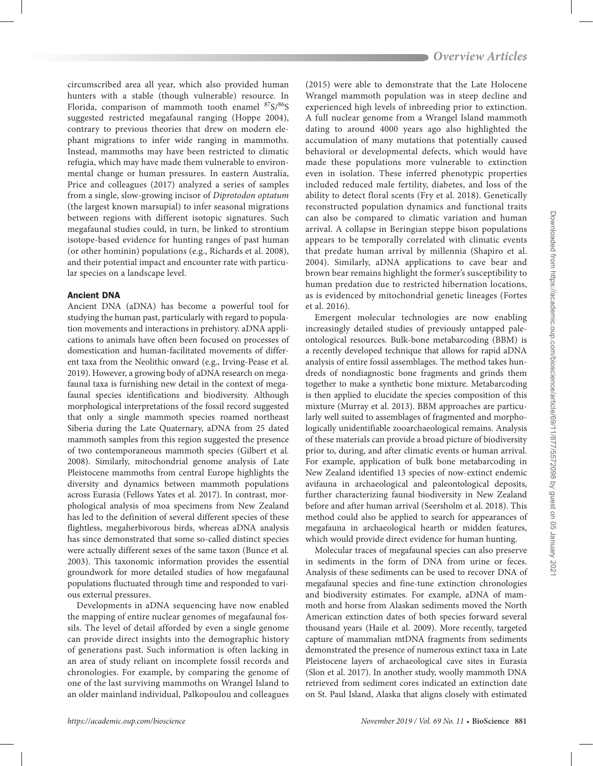circumscribed area all year, which also provided human hunters with a stable (though vulnerable) resource. In Florida, comparison of mammoth tooth enamel  $87S/86S$ suggested restricted megafaunal ranging (Hoppe 2004), contrary to previous theories that drew on modern elephant migrations to infer wide ranging in mammoths. Instead, mammoths may have been restricted to climatic refugia, which may have made them vulnerable to environmental change or human pressures. In eastern Australia, Price and colleagues (2017) analyzed a series of samples from a single, slow-growing incisor of *Diprotodon optatum*  (the largest known marsupial) to infer seasonal migrations between regions with different isotopic signatures. Such megafaunal studies could, in turn, be linked to strontium isotope-based evidence for hunting ranges of past human (or other hominin) populations (e.g., Richards et al. 2008), and their potential impact and encounter rate with particular species on a landscape level.

#### Ancient DNA

Ancient DNA (aDNA) has become a powerful tool for studying the human past, particularly with regard to population movements and interactions in prehistory. aDNA applications to animals have often been focused on processes of domestication and human-facilitated movements of different taxa from the Neolithic onward (e.g., Irving-Pease et al. 2019). However, a growing body of aDNA research on megafaunal taxa is furnishing new detail in the context of megafaunal species identifications and biodiversity. Although morphological interpretations of the fossil record suggested that only a single mammoth species roamed northeast Siberia during the Late Quaternary, aDNA from 25 dated mammoth samples from this region suggested the presence of two contemporaneous mammoth species (Gilbert et al. 2008). Similarly, mitochondrial genome analysis of Late Pleistocene mammoths from central Europe highlights the diversity and dynamics between mammoth populations across Eurasia (Fellows Yates et al. 2017). In contrast, morphological analysis of moa specimens from New Zealand has led to the definition of several different species of these flightless, megaherbivorous birds, whereas aDNA analysis has since demonstrated that some so-called distinct species were actually different sexes of the same taxon (Bunce et al. 2003). This taxonomic information provides the essential groundwork for more detailed studies of how megafaunal populations fluctuated through time and responded to various external pressures.

Developments in aDNA sequencing have now enabled the mapping of entire nuclear genomes of megafaunal fossils. The level of detail afforded by even a single genome can provide direct insights into the demographic history of generations past. Such information is often lacking in an area of study reliant on incomplete fossil records and chronologies. For example, by comparing the genome of one of the last surviving mammoths on Wrangel Island to an older mainland individual, Palkopoulou and colleagues (2015) were able to demonstrate that the Late Holocene Wrangel mammoth population was in steep decline and experienced high levels of inbreeding prior to extinction. A full nuclear genome from a Wrangel Island mammoth dating to around 4000 years ago also highlighted the accumulation of many mutations that potentially caused behavioral or developmental defects, which would have made these populations more vulnerable to extinction even in isolation. These inferred phenotypic properties included reduced male fertility, diabetes, and loss of the ability to detect floral scents (Fry et al. 2018). Genetically reconstructed population dynamics and functional traits can also be compared to climatic variation and human arrival. A collapse in Beringian steppe bison populations appears to be temporally correlated with climatic events that predate human arrival by millennia (Shapiro et al. 2004). Similarly, aDNA applications to cave bear and brown bear remains highlight the former's susceptibility to human predation due to restricted hibernation locations, as is evidenced by mitochondrial genetic lineages (Fortes et al. 2016).

Emergent molecular technologies are now enabling increasingly detailed studies of previously untapped paleontological resources. Bulk-bone metabarcoding (BBM) is a recently developed technique that allows for rapid aDNA analysis of entire fossil assemblages. The method takes hundreds of nondiagnostic bone fragments and grinds them together to make a synthetic bone mixture. Metabarcoding is then applied to elucidate the species composition of this mixture (Murray et al. 2013). BBM approaches are particularly well suited to assemblages of fragmented and morphologically unidentifiable zooarchaeological remains. Analysis of these materials can provide a broad picture of biodiversity prior to, during, and after climatic events or human arrival. For example, application of bulk bone metabarcoding in New Zealand identified 13 species of now-extinct endemic avifauna in archaeological and paleontological deposits, further characterizing faunal biodiversity in New Zealand before and after human arrival (Seersholm et al. 2018). This method could also be applied to search for appearances of megafauna in archaeological hearth or midden features, which would provide direct evidence for human hunting.

Molecular traces of megafaunal species can also preserve in sediments in the form of DNA from urine or feces. Analysis of these sediments can be used to recover DNA of megafaunal species and fine-tune extinction chronologies and biodiversity estimates. For example, aDNA of mammoth and horse from Alaskan sediments moved the North American extinction dates of both species forward several thousand years (Haile et al. 2009). More recently, targeted capture of mammalian mtDNA fragments from sediments demonstrated the presence of numerous extinct taxa in Late Pleistocene layers of archaeological cave sites in Eurasia (Slon et al. 2017). In another study, woolly mammoth DNA retrieved from sediment cores indicated an extinction date on St. Paul Island, Alaska that aligns closely with estimated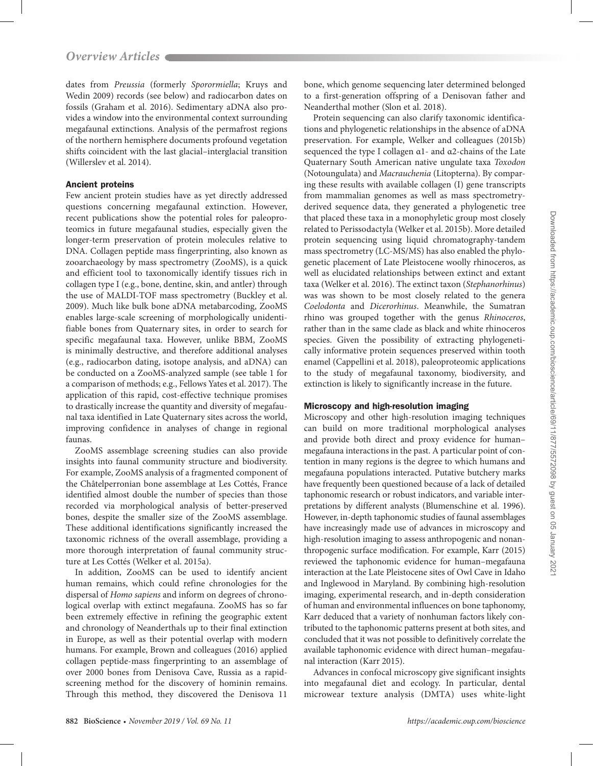dates from *Preussia* (formerly *Sporormiella*; Kruys and Wedin 2009) records (see below) and radiocarbon dates on fossils (Graham et al. 2016). Sedimentary aDNA also provides a window into the environmental context surrounding megafaunal extinctions. Analysis of the permafrost regions of the northern hemisphere documents profound vegetation shifts coincident with the last glacial–interglacial transition (Willerslev et al. 2014).

### Ancient proteins

Few ancient protein studies have as yet directly addressed questions concerning megafaunal extinction. However, recent publications show the potential roles for paleoproteomics in future megafaunal studies, especially given the longer-term preservation of protein molecules relative to DNA. Collagen peptide mass fingerprinting, also known as zooarchaeology by mass spectrometry (ZooMS), is a quick and efficient tool to taxonomically identify tissues rich in collagen type I (e.g., bone, dentine, skin, and antler) through the use of MALDI-TOF mass spectrometry (Buckley et al. 2009). Much like bulk bone aDNA metabarcoding, ZooMS enables large-scale screening of morphologically unidentifiable bones from Quaternary sites, in order to search for specific megafaunal taxa. However, unlike BBM, ZooMS is minimally destructive, and therefore additional analyses (e.g., radiocarbon dating, isotope analysis, and aDNA) can be conducted on a ZooMS-analyzed sample (see table 1 for a comparison of methods; e.g., Fellows Yates et al. 2017). The application of this rapid, cost-effective technique promises to drastically increase the quantity and diversity of megafaunal taxa identified in Late Quaternary sites across the world, improving confidence in analyses of change in regional faunas.

ZooMS assemblage screening studies can also provide insights into faunal community structure and biodiversity. For example, ZooMS analysis of a fragmented component of the Châtelperronian bone assemblage at Les Cottés, France identified almost double the number of species than those recorded via morphological analysis of better-preserved bones, despite the smaller size of the ZooMS assemblage. These additional identifications significantly increased the taxonomic richness of the overall assemblage, providing a more thorough interpretation of faunal community structure at Les Cottés (Welker et al. 2015a).

In addition, ZooMS can be used to identify ancient human remains, which could refine chronologies for the dispersal of *Homo sapiens* and inform on degrees of chronological overlap with extinct megafauna. ZooMS has so far been extremely effective in refining the geographic extent and chronology of Neanderthals up to their final extinction in Europe, as well as their potential overlap with modern humans. For example, Brown and colleagues (2016) applied collagen peptide-mass fingerprinting to an assemblage of over 2000 bones from Denisova Cave, Russia as a rapidscreening method for the discovery of hominin remains. Through this method, they discovered the Denisova 11

bone, which genome sequencing later determined belonged to a first-generation offspring of a Denisovan father and Neanderthal mother (Slon et al. 2018).

Protein sequencing can also clarify taxonomic identifications and phylogenetic relationships in the absence of aDNA preservation. For example, Welker and colleagues (2015b) sequenced the type I collagen α1- and α2-chains of the Late Quaternary South American native ungulate taxa *Toxodon* (Notoungulata) and *Macrauchenia* (Litopterna). By comparing these results with available collagen (I) gene transcripts from mammalian genomes as well as mass spectrometryderived sequence data, they generated a phylogenetic tree that placed these taxa in a monophyletic group most closely related to Perissodactyla (Welker et al. 2015b). More detailed protein sequencing using liquid chromatography-tandem mass spectrometry (LC-MS/MS) has also enabled the phylogenetic placement of Late Pleistocene woolly rhinoceros, as well as elucidated relationships between extinct and extant taxa (Welker et al. 2016). The extinct taxon (*Stephanorhinus*) was was shown to be most closely related to the genera *Coelodonta* and *Dicerorhinus*. Meanwhile, the Sumatran rhino was grouped together with the genus *Rhinoceros*, rather than in the same clade as black and white rhinoceros species. Given the possibility of extracting phylogenetically informative protein sequences preserved within tooth enamel (Cappellini et al. 2018), paleoproteomic applications to the study of megafaunal taxonomy, biodiversity, and extinction is likely to significantly increase in the future.

### Microscopy and high-resolution imaging

Microscopy and other high-resolution imaging techniques can build on more traditional morphological analyses and provide both direct and proxy evidence for human– megafauna interactions in the past. A particular point of contention in many regions is the degree to which humans and megafauna populations interacted. Putative butchery marks have frequently been questioned because of a lack of detailed taphonomic research or robust indicators, and variable interpretations by different analysts (Blumenschine et al. 1996). However, in-depth taphonomic studies of faunal assemblages have increasingly made use of advances in microscopy and high-resolution imaging to assess anthropogenic and nonanthropogenic surface modification. For example, Karr (2015) reviewed the taphonomic evidence for human–megafauna interaction at the Late Pleistocene sites of Owl Cave in Idaho and Inglewood in Maryland. By combining high-resolution imaging, experimental research, and in-depth consideration of human and environmental influences on bone taphonomy, Karr deduced that a variety of nonhuman factors likely contributed to the taphonomic patterns present at both sites, and concluded that it was not possible to definitively correlate the available taphonomic evidence with direct human–megafaunal interaction (Karr 2015).

Advances in confocal microscopy give significant insights into megafaunal diet and ecology. In particular, dental microwear texture analysis (DMTA) uses white-light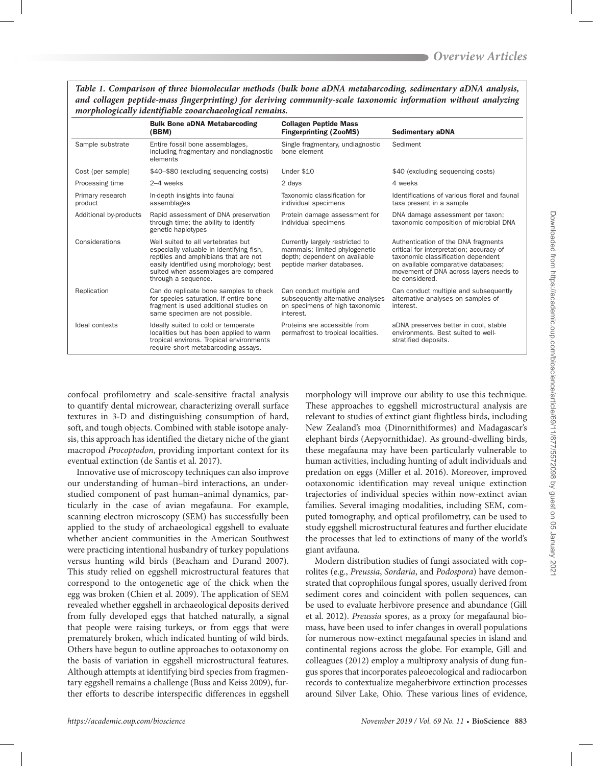| $m$ orphologically iachtipaolo zoodrehacological remains. |                                                                                                                                                                                                                                   |                                                                                                                                |                                                                                                                                                                                                                          |
|-----------------------------------------------------------|-----------------------------------------------------------------------------------------------------------------------------------------------------------------------------------------------------------------------------------|--------------------------------------------------------------------------------------------------------------------------------|--------------------------------------------------------------------------------------------------------------------------------------------------------------------------------------------------------------------------|
|                                                           | <b>Bulk Bone aDNA Metabarcoding</b><br>(BBM)                                                                                                                                                                                      | <b>Collagen Peptide Mass</b><br><b>Fingerprinting (ZooMS)</b>                                                                  | <b>Sedimentary aDNA</b>                                                                                                                                                                                                  |
| Sample substrate                                          | Entire fossil bone assemblages,<br>including fragmentary and nondiagnostic<br>elements                                                                                                                                            | Single fragmentary, undiagnostic<br>bone element                                                                               | Sediment                                                                                                                                                                                                                 |
| Cost (per sample)                                         | \$40–\$80 (excluding sequencing costs)                                                                                                                                                                                            | Under \$10                                                                                                                     | \$40 (excluding sequencing costs)                                                                                                                                                                                        |
| Processing time                                           | 2-4 weeks                                                                                                                                                                                                                         | 2 days                                                                                                                         | 4 weeks                                                                                                                                                                                                                  |
| Primary research<br>product                               | In-depth insights into faunal<br>assemblages                                                                                                                                                                                      | Taxonomic classification for<br>individual specimens                                                                           | Identifications of various floral and faunal<br>taxa present in a sample                                                                                                                                                 |
| Additional by-products                                    | Rapid assessment of DNA preservation<br>through time; the ability to identify<br>genetic haplotypes                                                                                                                               | Protein damage assessment for<br>individual specimens                                                                          | DNA damage assessment per taxon;<br>taxonomic composition of microbial DNA                                                                                                                                               |
| Considerations                                            | Well suited to all vertebrates but<br>especially valuable in identifying fish,<br>reptiles and amphibians that are not<br>easily identified using morphology; best<br>suited when assemblages are compared<br>through a sequence. | Currently largely restricted to<br>mammals; limited phylogenetic<br>depth; dependent on available<br>peptide marker databases. | Authentication of the DNA fragments<br>critical for interpretation; accuracy of<br>taxonomic classification dependent<br>on available comparative databases;<br>movement of DNA across layers needs to<br>be considered. |
| Replication                                               | Can do replicate bone samples to check<br>for species saturation. If entire bone<br>fragment is used additional studies on<br>same specimen are not possible.                                                                     | Can conduct multiple and<br>subsequently alternative analyses<br>on specimens of high taxonomic<br>interest.                   | Can conduct multiple and subsequently<br>alternative analyses on samples of<br>interest.                                                                                                                                 |
| Ideal contexts                                            | Ideally suited to cold or temperate<br>localities but has been applied to warm<br>tropical environs. Tropical environments<br>require short metabarcoding assays.                                                                 | Proteins are accessible from<br>permafrost to tropical localities.                                                             | aDNA preserves better in cool, stable<br>environments. Best suited to well-<br>stratified deposits.                                                                                                                      |

*Table 1. Comparison of three biomolecular methods (bulk bone aDNA metabarcoding, sedimentary aDNA analysis, and collagen peptide-mass fingerprinting) for deriving community-scale taxonomic information without analyzing morphologically identifiable zooarchaeological remains.*

confocal profilometry and scale-sensitive fractal analysis to quantify dental microwear, characterizing overall surface textures in 3-D and distinguishing consumption of hard, soft, and tough objects. Combined with stable isotope analysis, this approach has identified the dietary niche of the giant macropod *Procoptodon*, providing important context for its eventual extinction (de Santis et al. 2017).

Innovative use of microscopy techniques can also improve our understanding of human–bird interactions, an understudied component of past human–animal dynamics, particularly in the case of avian megafauna. For example, scanning electron microscopy (SEM) has successfully been applied to the study of archaeological eggshell to evaluate whether ancient communities in the American Southwest were practicing intentional husbandry of turkey populations versus hunting wild birds (Beacham and Durand 2007). This study relied on eggshell microstructural features that correspond to the ontogenetic age of the chick when the egg was broken (Chien et al. 2009). The application of SEM revealed whether eggshell in archaeological deposits derived from fully developed eggs that hatched naturally, a signal that people were raising turkeys, or from eggs that were prematurely broken, which indicated hunting of wild birds. Others have begun to outline approaches to ootaxonomy on the basis of variation in eggshell microstructural features. Although attempts at identifying bird species from fragmentary eggshell remains a challenge (Buss and Keiss 2009), further efforts to describe interspecific differences in eggshell

morphology will improve our ability to use this technique. These approaches to eggshell microstructural analysis are relevant to studies of extinct giant flightless birds, including New Zealand's moa (Dinornithiformes) and Madagascar's elephant birds (Aepyornithidae). As ground-dwelling birds, these megafauna may have been particularly vulnerable to human activities, including hunting of adult individuals and predation on eggs (Miller et al. 2016). Moreover, improved ootaxonomic identification may reveal unique extinction trajectories of individual species within now-extinct avian families. Several imaging modalities, including SEM, computed tomography, and optical profilometry, can be used to study eggshell microstructural features and further elucidate the processes that led to extinctions of many of the world's giant avifauna.

Modern distribution studies of fungi associated with coprolites (e.g., *Preussia*, *Sordaria*, and *Podospora*) have demonstrated that coprophilous fungal spores, usually derived from sediment cores and coincident with pollen sequences, can be used to evaluate herbivore presence and abundance (Gill et al. 2012). *Preussia* spores, as a proxy for megafaunal biomass, have been used to infer changes in overall populations for numerous now-extinct megafaunal species in island and continental regions across the globe. For example, Gill and colleagues (2012) employ a multiproxy analysis of dung fungus spores that incorporates paleoecological and radiocarbon records to contextualize megaherbivore extinction processes around Silver Lake, Ohio. These various lines of evidence,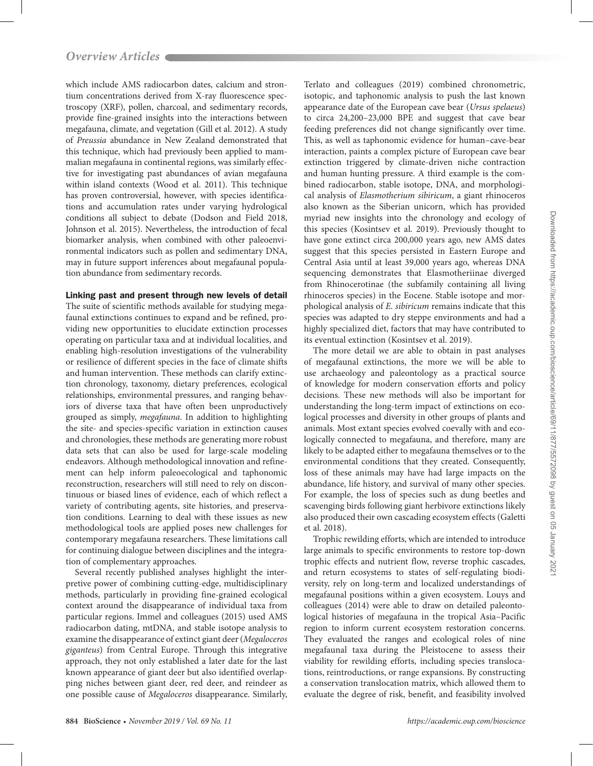which include AMS radiocarbon dates, calcium and strontium concentrations derived from X-ray fluorescence spectroscopy (XRF), pollen, charcoal, and sedimentary records, provide fine-grained insights into the interactions between megafauna, climate, and vegetation (Gill et al. 2012). A study of *Preussia* abundance in New Zealand demonstrated that this technique, which had previously been applied to mammalian megafauna in continental regions, was similarly effective for investigating past abundances of avian megafauna within island contexts (Wood et al. 2011). This technique has proven controversial, however, with species identifications and accumulation rates under varying hydrological conditions all subject to debate (Dodson and Field 2018, Johnson et al. 2015). Nevertheless, the introduction of fecal biomarker analysis, when combined with other paleoenvironmental indicators such as pollen and sedimentary DNA, may in future support inferences about megafaunal population abundance from sedimentary records.

#### Linking past and present through new levels of detail

The suite of scientific methods available for studying megafaunal extinctions continues to expand and be refined, providing new opportunities to elucidate extinction processes operating on particular taxa and at individual localities, and enabling high-resolution investigations of the vulnerability or resilience of different species in the face of climate shifts and human intervention. These methods can clarify extinction chronology, taxonomy, dietary preferences, ecological relationships, environmental pressures, and ranging behaviors of diverse taxa that have often been unproductively grouped as simply, *megafauna*. In addition to highlighting the site- and species-specific variation in extinction causes and chronologies, these methods are generating more robust data sets that can also be used for large-scale modeling endeavors. Although methodological innovation and refinement can help inform paleoecological and taphonomic reconstruction, researchers will still need to rely on discontinuous or biased lines of evidence, each of which reflect a variety of contributing agents, site histories, and preservation conditions. Learning to deal with these issues as new methodological tools are applied poses new challenges for contemporary megafauna researchers. These limitations call for continuing dialogue between disciplines and the integration of complementary approaches.

Several recently published analyses highlight the interpretive power of combining cutting-edge, multidisciplinary methods, particularly in providing fine-grained ecological context around the disappearance of individual taxa from particular regions. Immel and colleagues (2015) used AMS radiocarbon dating, mtDNA, and stable isotope analysis to examine the disappearance of extinct giant deer (*Megaloceros giganteus*) from Central Europe. Through this integrative approach, they not only established a later date for the last known appearance of giant deer but also identified overlapping niches between giant deer, red deer, and reindeer as one possible cause of *Megaloceros* disappearance. Similarly,

Terlato and colleagues (2019) combined chronometric, isotopic, and taphonomic analysis to push the last known appearance date of the European cave bear (*Ursus spelaeus*) to circa 24,200–23,000 BPE and suggest that cave bear feeding preferences did not change significantly over time. This, as well as taphonomic evidence for human–cave-bear interaction, paints a complex picture of European cave bear extinction triggered by climate-driven niche contraction and human hunting pressure. A third example is the combined radiocarbon, stable isotope, DNA, and morphological analysis of *Elasmotherium sibiricum*, a giant rhinoceros also known as the Siberian unicorn, which has provided myriad new insights into the chronology and ecology of this species (Kosintsev et al. 2019). Previously thought to have gone extinct circa 200,000 years ago, new AMS dates suggest that this species persisted in Eastern Europe and Central Asia until at least 39,000 years ago, whereas DNA sequencing demonstrates that Elasmotheriinae diverged from Rhinocerotinae (the subfamily containing all living rhinoceros species) in the Eocene. Stable isotope and morphological analysis of *E. sibiricum* remains indicate that this species was adapted to dry steppe environments and had a highly specialized diet, factors that may have contributed to its eventual extinction (Kosintsev et al. 2019).

The more detail we are able to obtain in past analyses of megafaunal extinctions, the more we will be able to use archaeology and paleontology as a practical source of knowledge for modern conservation efforts and policy decisions. These new methods will also be important for understanding the long-term impact of extinctions on ecological processes and diversity in other groups of plants and animals. Most extant species evolved coevally with and ecologically connected to megafauna, and therefore, many are likely to be adapted either to megafauna themselves or to the environmental conditions that they created. Consequently, loss of these animals may have had large impacts on the abundance, life history, and survival of many other species. For example, the loss of species such as dung beetles and scavenging birds following giant herbivore extinctions likely also produced their own cascading ecosystem effects (Galetti et al. 2018).

Trophic rewilding efforts, which are intended to introduce large animals to specific environments to restore top-down trophic effects and nutrient flow, reverse trophic cascades, and return ecosystems to states of self-regulating biodiversity, rely on long-term and localized understandings of megafaunal positions within a given ecosystem. Louys and colleagues (2014) were able to draw on detailed paleontological histories of megafauna in the tropical Asia–Pacific region to inform current ecosystem restoration concerns. They evaluated the ranges and ecological roles of nine megafaunal taxa during the Pleistocene to assess their viability for rewilding efforts, including species translocations, reintroductions, or range expansions. By constructing a conservation translocation matrix, which allowed them to evaluate the degree of risk, benefit, and feasibility involved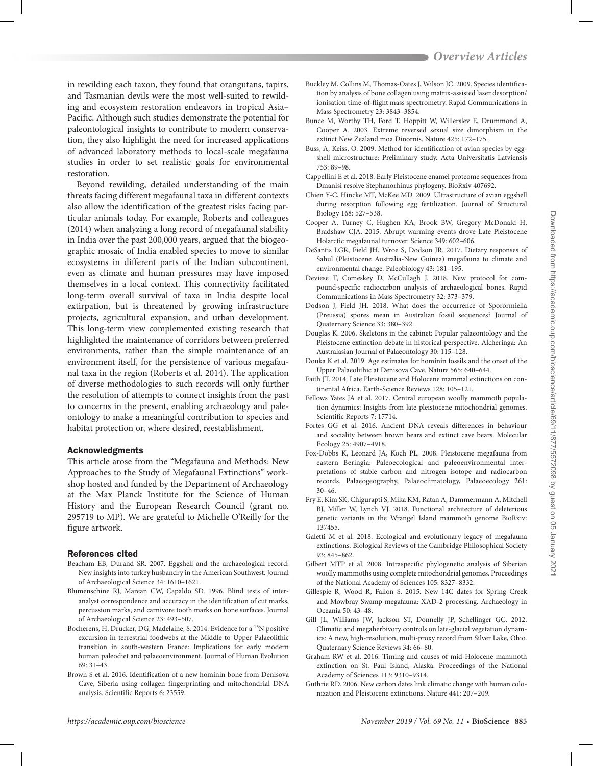in rewilding each taxon, they found that orangutans, tapirs, and Tasmanian devils were the most well-suited to rewilding and ecosystem restoration endeavors in tropical Asia– Pacific. Although such studies demonstrate the potential for paleontological insights to contribute to modern conservation, they also highlight the need for increased applications of advanced laboratory methods to local-scale megafauna studies in order to set realistic goals for environmental restoration.

Beyond rewilding, detailed understanding of the main threats facing different megafaunal taxa in different contexts also allow the identification of the greatest risks facing particular animals today. For example, Roberts and colleagues (2014) when analyzing a long record of megafaunal stability in India over the past 200,000 years, argued that the biogeographic mosaic of India enabled species to move to similar ecosystems in different parts of the Indian subcontinent, even as climate and human pressures may have imposed themselves in a local context. This connectivity facilitated long-term overall survival of taxa in India despite local extirpation, but is threatened by growing infrastructure projects, agricultural expansion, and urban development. This long-term view complemented existing research that highlighted the maintenance of corridors between preferred environments, rather than the simple maintenance of an environment itself, for the persistence of various megafaunal taxa in the region (Roberts et al. 2014). The application of diverse methodologies to such records will only further the resolution of attempts to connect insights from the past to concerns in the present, enabling archaeology and paleontology to make a meaningful contribution to species and habitat protection or, where desired, reestablishment.

### Acknowledgments

This article arose from the "Megafauna and Methods: New Approaches to the Study of Megafaunal Extinctions" workshop hosted and funded by the Department of Archaeology at the Max Planck Institute for the Science of Human History and the European Research Council (grant no. 295719 to MP). We are grateful to Michelle O'Reilly for the figure artwork.

### References cited

- Beacham EB, Durand SR. 2007. Eggshell and the archaeological record: New insights into turkey husbandry in the American Southwest. Journal of Archaeological Science 34: 1610–1621.
- Blumenschine RJ, Marean CW, Capaldo SD. 1996. Blind tests of interanalyst correspondence and accuracy in the identification of cut marks, percussion marks, and carnivore tooth marks on bone surfaces. Journal of Archaeological Science 23: 493–507.
- Bocherens, H, Drucker, DG, Madelaine, S. 2014. Evidence for a 15N positive excursion in terrestrial foodwebs at the Middle to Upper Palaeolithic transition in south-western France: Implications for early modern human paleodiet and palaeoenvironment. Journal of Human Evolution 69: 31–43.
- Brown S et al. 2016. Identification of a new hominin bone from Denisova Cave, Siberia using collagen fingerprinting and mitochondrial DNA analysis. Scientific Reports 6: 23559.
- Buckley M, Collins M, Thomas-Oates J, Wilson JC. 2009. Species identification by analysis of bone collagen using matrix-assisted laser desorption/ ionisation time-of-flight mass spectrometry. Rapid Communications in Mass Spectrometry 23: 3843–3854.
- Bunce M, Worthy TH, Ford T, Hoppitt W, Willerslev E, Drummond A, Cooper A. 2003. Extreme reversed sexual size dimorphism in the extinct New Zealand moa Dinornis. Nature 425: 172–175.
- Buss, A, Keiss, O. 2009. Method for identification of avian species by eggshell microstructure: Preliminary study. Acta Universitatis Latviensis 753: 89–98.
- Cappellini E et al. 2018. Early Pleistocene enamel proteome sequences from Dmanisi resolve Stephanorhinus phylogeny. BioRxiv 407692.
- Chien Y-C, Hincke MT, McKee MD. 2009. Ultrastructure of avian eggshell during resorption following egg fertilization. Journal of Structural Biology 168: 527–538.
- Cooper A, Turney C, Hughen KA, Brook BW, Gregory McDonald H, Bradshaw CJA. 2015. Abrupt warming events drove Late Pleistocene Holarctic megafaunal turnover. Science 349: 602–606.
- DeSantis LGR, Field JH, Wroe S, Dodson JR. 2017. Dietary responses of Sahul (Pleistocene Australia-New Guinea) megafauna to climate and environmental change. Paleobiology 43: 181–195.
- Deviese T, Comeskey D, McCullagh J. 2018. New protocol for compound‐specific radiocarbon analysis of archaeological bones. Rapid Communications in Mass Spectrometry 32: 373–379.
- Dodson J, Field JH. 2018. What does the occurrence of Sporormiella (Preussia) spores mean in Australian fossil sequences? Journal of Quaternary Science 33: 380–392.
- Douglas K. 2006. Skeletons in the cabinet: Popular palaeontology and the Pleistocene extinction debate in historical perspective. Alcheringa: An Australasian Journal of Palaeontology 30: 115–128.
- Douka K et al. 2019. Age estimates for hominin fossils and the onset of the Upper Palaeolithic at Denisova Cave. Nature 565: 640–644.
- Faith JT. 2014. Late Pleistocene and Holocene mammal extinctions on continental Africa. Earth-Science Reviews 128: 105–121.
- Fellows Yates JA et al. 2017. Central european woolly mammoth population dynamics: Insights from late pleistocene mitochondrial genomes. Scientific Reports 7: 17714.
- Fortes GG et al. 2016. Ancient DNA reveals differences in behaviour and sociality between brown bears and extinct cave bears. Molecular Ecology 25: 4907–4918.
- Fox-Dobbs K, Leonard JA, Koch PL. 2008. Pleistocene megafauna from eastern Beringia: Paleoecological and paleoenvironmental interpretations of stable carbon and nitrogen isotope and radiocarbon records. Palaeogeography, Palaeoclimatology, Palaeoecology 261: 30–46.
- Fry E, Kim SK, Chigurapti S, Mika KM, Ratan A, Dammermann A, Mitchell BJ, Miller W, Lynch VJ. 2018. Functional architecture of deleterious genetic variants in the Wrangel Island mammoth genome BioRxiv: 137455.
- Galetti M et al. 2018. Ecological and evolutionary legacy of megafauna extinctions. Biological Reviews of the Cambridge Philosophical Society 93: 845–862.
- Gilbert MTP et al. 2008. Intraspecific phylogenetic analysis of Siberian woolly mammoths using complete mitochondrial genomes. Proceedings of the National Academy of Sciences 105: 8327–8332.
- Gillespie R, Wood R, Fallon S. 2015. New 14C dates for Spring Creek and Mowbray Swamp megafauna: XAD-2 processing. Archaeology in Oceania 50: 43–48.
- Gill JL, Williams JW, Jackson ST, Donnelly JP, Schellinger GC. 2012. Climatic and megaherbivory controls on late-glacial vegetation dynamics: A new, high-resolution, multi-proxy record from Silver Lake, Ohio. Quaternary Science Reviews 34: 66–80.
- Graham RW et al. 2016. Timing and causes of mid-Holocene mammoth extinction on St. Paul Island, Alaska. Proceedings of the National Academy of Sciences 113: 9310–9314.
- Guthrie RD. 2006. New carbon dates link climatic change with human colonization and Pleistocene extinctions. Nature 441: 207–209.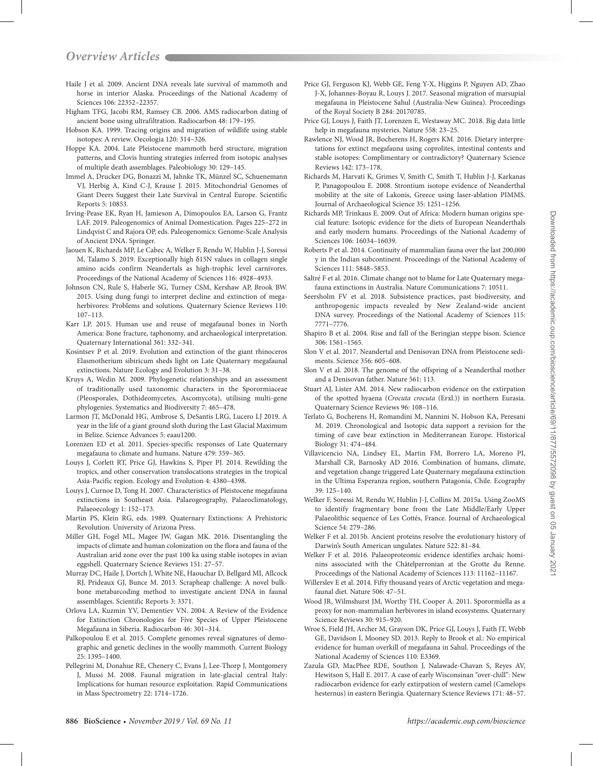- Haile J et al. 2009. Ancient DNA reveals late survival of mammoth and horse in interior Alaska. Proceedings of the National Academy of Sciences 106: 22352–22357.
- Higham TFG, Jacobi RM, Ramsey CB. 2006. AMS radiocarbon dating of ancient bone using ultrafiltration. Radiocarbon 48: 179–195.
- Hobson KA. 1999. Tracing origins and migration of wildlife using stable isotopes: A review. Oecologia 120: 314–326.
- Hoppe KA. 2004. Late Pleistocene mammoth herd structure, migration patterns, and Clovis hunting strategies inferred from isotopic analyses of multiple death assemblages. Paleobiology 30: 129–145.
- Immel A, Drucker DG, Bonazzi M, Jahnke TK, Münzel SC, Schuenemann VJ, Herbig A, Kind C-J, Krause J. 2015. Mitochondrial Genomes of Giant Deers Suggest their Late Survival in Central Europe. Scientific Reports 5: 10853.
- Irving-Pease EK, Ryan H, Jamieson A, Dimopoulos EA, Larson G, Frantz LAF. 2019. Paleogenomics of Animal Domestication. Pages 225–272 in Lindqvist C and Rajora OP, eds. Paleogenomics: Genome-Scale Analysis of Ancient DNA. Springer.
- Jaouen K, Richards MP, Le Cabec A, Welker F, Rendu W, Hublin J-J, Soressi M, Talamo S. 2019. Exceptionally high δ15N values in collagen single amino acids confirm Neandertals as high-trophic level carnivores. Proceedings of the National Academy of Sciences 116: 4928–4933.
- Johnson CN, Rule S, Haberle SG, Turney CSM, Kershaw AP, Brook BW. 2015. Using dung fungi to interpret decline and extinction of megaherbivores: Problems and solutions. Quaternary Science Reviews 110: 107–113.
- Karr LP. 2015. Human use and reuse of megafaunal bones in North America: Bone fracture, taphonomy, and archaeological interpretation. Quaternary International 361: 332–341.
- Kosintsev P et al. 2019. Evolution and extinction of the giant rhinoceros Elasmotherium sibiricum sheds light on Late Quaternary megafaunal extinctions. Nature Ecology and Evolution 3: 31–38.
- Kruys A, Wedin M. 2009. Phylogenetic relationships and an assessment of traditionally used taxonomic characters in the Sporormiaceae (Pleosporales, Dothideomycetes, Ascomycota), utilising multi-gene phylogenies. Systematics and Biodiversity 7: 465–478.
- Larmon JT, McDonald HG, Ambrose S, DeSantis LRG, Lucero LJ 2019. A year in the life of a giant ground sloth during the Last Glacial Maximum in Belize. Science Advances 5: eaau1200.
- Lorenzen ED et al. 2011. Species-specific responses of Late Quaternary megafauna to climate and humans. Nature 479: 359–365.
- Louys J, Corlett RT, Price GJ, Hawkins S, Piper PJ. 2014. Rewilding the tropics, and other conservation translocations strategies in the tropical Asia-Pacific region. Ecology and Evolution 4: 4380–4398.
- Louys J, Curnoe D, Tong H. 2007. Characteristics of Pleistocene megafauna extinctions in Southeast Asia. Palaeogeography, Palaeoclimatology, Palaeoecology 1: 152–173.
- Martin PS, Klein RG, eds. 1989. Quaternary Extinctions: A Prehistoric Revolution. University of Arizona Press.
- Miller GH, Fogel ML, Magee JW, Gagan MK. 2016. Disentangling the impacts of climate and human colonization on the flora and fauna of the Australian arid zone over the past 100 ka using stable isotopes in avian eggshell. Quaternary Science Reviews 151: 27–57.
- Murray DC, Haile J, Dortch J, White NE, Haouchar D, Bellgard MI, Allcock RJ, Prideaux GJ, Bunce M. 2013. Scrapheap challenge: A novel bulkbone metabarcoding method to investigate ancient DNA in faunal assemblages. Scientific Reports 3: 3371.
- Orlova LA, Kuzmin YV, Dementiev VN. 2004. A Review of the Evidence for Extinction Chronologies for Five Species of Upper Pleistocene Megafauna in Siberia. Radiocarbon 46: 301–314.
- Palkopoulou E et al. 2015. Complete genomes reveal signatures of demographic and genetic declines in the woolly mammoth. Current Biology 25: 1395–1400.
- Pellegrini M, Donahue RE, Chenery C, Evans J, Lee-Thorp J, Montgomery J, Mussi M. 2008. Faunal migration in late-glacial central Italy: Implications for human resource exploitation. Rapid Communications in Mass Spectrometry 22: 1714–1726.
- Price GJ, Ferguson KJ, Webb GE, Feng Y-X, Higgins P, Nguyen AD, Zhao J-X, Johannes-Boyau R, Louys J. 2017. Seasonal migration of marsupial megafauna in Pleistocene Sahul (Australia-New Guinea). Proceedings of the Royal Society B 284: 20170785.
- Price GJ, Louys J, Faith JT, Lorenzen E, Westaway MC. 2018. Big data little help in megafauna mysteries. Nature 558: 23–25.
- Rawlence NJ, Wood JR, Bocherens H, Rogers KM. 2016. Dietary interpretations for extinct megafauna using coprolites, intestinal contents and stable isotopes: Complimentary or contradictory? Quaternary Science Reviews 142: 173–178.
- Richards M, Harvati K, Grimes V, Smith C, Smith T, Hublin J-J, Karkanas P, Panagopoulou E. 2008. Strontium isotope evidence of Neanderthal mobility at the site of Lakonis, Greece using laser-ablation PIMMS. Journal of Archaeological Science 35: 1251–1256.
- Richards MP, Trinkaus E. 2009. Out of Africa: Modern human origins special feature: Isotopic evidence for the diets of European Neanderthals and early modern humans. Proceedings of the National Academy of Sciences 106: 16034–16039.
- Roberts P et al. 2014. Continuity of mammalian fauna over the last 200,000 y in the Indian subcontinent. Proceedings of the National Academy of Sciences 111: 5848–5853.
- Saltré F et al. 2016. Climate change not to blame for Late Quaternary megafauna extinctions in Australia. Nature Communications 7: 10511.
- Seersholm FV et al. 2018. Subsistence practices, past biodiversity, and anthropogenic impacts revealed by New Zealand-wide ancient DNA survey. Proceedings of the National Academy of Sciences 115: 7771–7776.
- Shapiro B et al. 2004. Rise and fall of the Beringian steppe bison. Science 306: 1561–1565.
- Slon V et al. 2017. Neandertal and Denisovan DNA from Pleistocene sediments. Science 356: 605–608.
- Slon V et al. 2018. The genome of the offspring of a Neanderthal mother and a Denisovan father. Nature 561: 113.
- Stuart AJ, Lister AM. 2014. New radiocarbon evidence on the extirpation of the spotted hyaena (*Crocuta crocuta* (Erxl.)) in northern Eurasia. Quaternary Science Reviews 96: 108–116.
- Terlato G, Bocherens H, Romandini M, Nannini N, Hobson KA, Peresani M. 2019. Chronological and Isotopic data support a revision for the timing of cave bear extinction in Mediterranean Europe. Historical Biology 31: 474–484.
- Villavicencio NA, Lindsey EL, Martin FM, Borrero LA, Moreno PI, Marshall CR, Barnosky AD 2016. Combination of humans, climate, and vegetation change triggered Late Quaternary megafauna extinction in the Ultima Esperanza region, southern Patagonia, Chile. Ecography 39: 125–140.
- Welker F, Soressi M, Rendu W, Hublin J-J, Collins M. 2015a. Using ZooMS to identify fragmentary bone from the Late Middle/Early Upper Palaeolithic sequence of Les Cottés, France. Journal of Archaeological Science 54: 279–286.
- Welker F et al. 2015b. Ancient proteins resolve the evolutionary history of Darwin's South American ungulates. Nature 522: 81–84.
- Welker F et al. 2016. Palaeoproteomic evidence identifies archaic hominins associated with the Châtelperronian at the Grotte du Renne. Proceedings of the National Academy of Sciences 113: 11162–11167.
- Willerslev E et al. 2014. Fifty thousand years of Arctic vegetation and megafaunal diet. Nature 506: 47–51.
- Wood JR, Wilmshurst JM, Worthy TH, Cooper A. 2011. Sporormiella as a proxy for non-mammalian herbivores in island ecosystems. Quaternary Science Reviews 30: 915–920.
- Wroe S, Field JH, Archer M, Grayson DK, Price GJ, Louys J, Faith JT, Webb GE, Davidson I, Mooney SD. 2013. Reply to Brook et al.: No empirical evidence for human overkill of megafauna in Sahul. Proceedings of the National Academy of Sciences 110: E3369.
- Zazula GD, MacPhee RDE, Southon J, Nalawade-Chavan S, Reyes AV, Hewitson S, Hall E. 2017. A case of early Wisconsinan "over-chill": New radiocarbon evidence for early extirpation of western camel (Camelops hesternus) in eastern Beringia. Quaternary Science Reviews 171: 48–57.